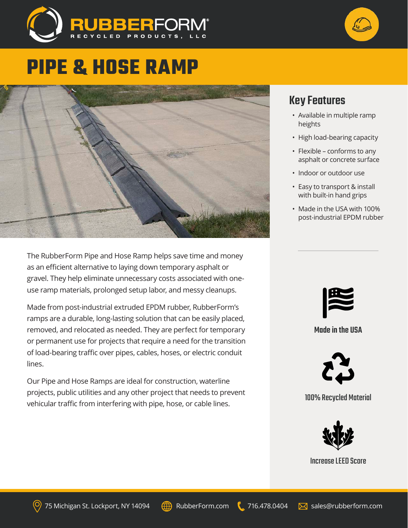



# **PIPE & HOSE RAMP**



The RubberForm Pipe and Hose Ramp helps save time and money as an efficient alternative to laying down temporary asphalt or gravel. They help eliminate unnecessary costs associated with oneuse ramp materials, prolonged setup labor, and messy cleanups.

Made from post-industrial extruded EPDM rubber, RubberForm's ramps are a durable, long-lasting solution that can be easily placed, removed, and relocated as needed. They are perfect for temporary or permanent use for projects that require a need for the transition of load-bearing traffic over pipes, cables, hoses, or electric conduit lines.

Our Pipe and Hose Ramps are ideal for construction, waterline projects, public utilities and any other project that needs to prevent vehicular traffic from interfering with pipe, hose, or cable lines.

### Key Features

- Available in multiple ramp heights
- High load-bearing capacity
- Flexible conforms to any asphalt or concrete surface
- Indoor or outdoor use
- Easy to transport & install with built-in hand grips
- Made in the USA with 100% post-industrial EPDM rubber



### Made in the USA



### 100% Recycled Material



#### Increase LEED Score